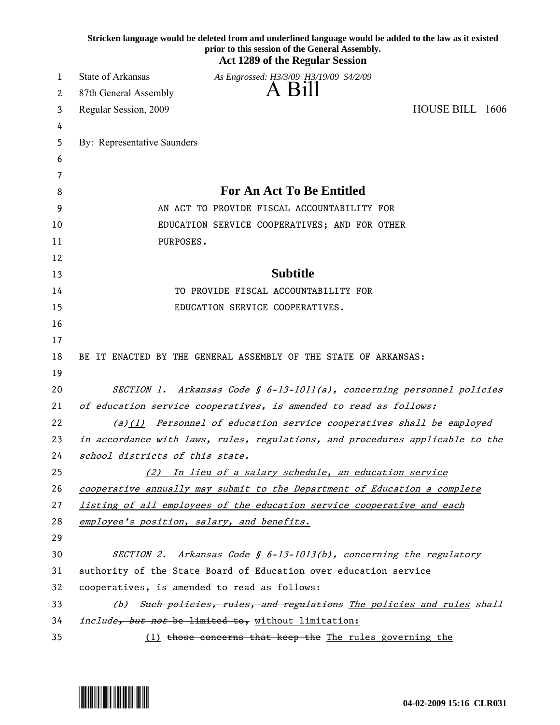|    | Stricken language would be deleted from and underlined language would be added to the law as it existed<br>prior to this session of the General Assembly.<br><b>Act 1289 of the Regular Session</b> |
|----|-----------------------------------------------------------------------------------------------------------------------------------------------------------------------------------------------------|
| 1  | State of Arkansas<br>As Engrossed: H3/3/09 H3/19/09 S4/2/09                                                                                                                                         |
| 2  | A Bill<br>87th General Assembly                                                                                                                                                                     |
| 3  | HOUSE BILL 1606<br>Regular Session, 2009                                                                                                                                                            |
| 4  |                                                                                                                                                                                                     |
| 5  | By: Representative Saunders                                                                                                                                                                         |
| 6  |                                                                                                                                                                                                     |
| 7  |                                                                                                                                                                                                     |
| 8  | <b>For An Act To Be Entitled</b>                                                                                                                                                                    |
| 9  | AN ACT TO PROVIDE FISCAL ACCOUNTABILITY FOR                                                                                                                                                         |
| 10 | EDUCATION SERVICE COOPERATIVES; AND FOR OTHER                                                                                                                                                       |
| 11 | PURPOSES.                                                                                                                                                                                           |
| 12 |                                                                                                                                                                                                     |
| 13 | <b>Subtitle</b>                                                                                                                                                                                     |
| 14 | TO PROVIDE FISCAL ACCOUNTABILITY FOR                                                                                                                                                                |
| 15 | EDUCATION SERVICE COOPERATIVES.                                                                                                                                                                     |
| 16 |                                                                                                                                                                                                     |
| 17 |                                                                                                                                                                                                     |
| 18 | BE IT ENACTED BY THE GENERAL ASSEMBLY OF THE STATE OF ARKANSAS:                                                                                                                                     |
| 19 |                                                                                                                                                                                                     |
| 20 | SECTION 1. Arkansas Code $\S$ 6-13-1011(a), concerning personnel policies                                                                                                                           |
| 21 | of education service cooperatives, is amended to read as follows:                                                                                                                                   |
| 22 | $(a)$ (1) Personnel of education service cooperatives shall be employed                                                                                                                             |
| 23 | in accordance with laws, rules, regulations, and procedures applicable to the                                                                                                                       |
| 24 | school districts of this state.                                                                                                                                                                     |
| 25 | (2) In lieu of a salary schedule, an education service                                                                                                                                              |
| 26 | cooperative annually may submit to the Department of Education a complete                                                                                                                           |
| 27 | listing of all employees of the education service cooperative and each                                                                                                                              |
| 28 | employee's position, salary, and benefits.                                                                                                                                                          |
| 29 |                                                                                                                                                                                                     |
| 30 | SECTION 2. Arkansas Code § $6-13-1013(b)$ , concerning the regulatory                                                                                                                               |
| 31 | authority of the State Board of Education over education service                                                                                                                                    |
| 32 | cooperatives, is amended to read as follows:                                                                                                                                                        |
| 33 | (b) Such policies, rules, and regulations The policies and rules shall                                                                                                                              |
| 34 | include, but not be limited to, without limitation:                                                                                                                                                 |
| 35 | (1) those concerns that keep the The rules governing the                                                                                                                                            |

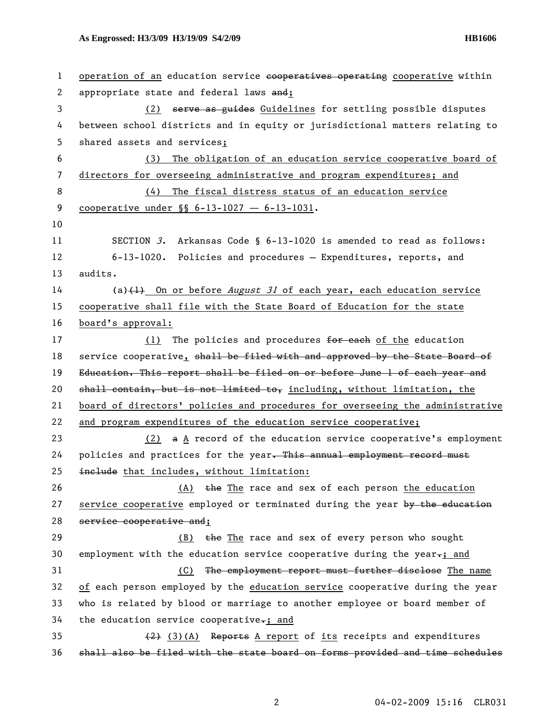| $\mathbf{1}$ | operation of an education service essperatives operating cooperative within      |
|--------------|----------------------------------------------------------------------------------|
| 2            | appropriate state and federal laws and;                                          |
| 3            | (2) serve as guides Guidelines for settling possible disputes                    |
| 4            | between school districts and in equity or jurisdictional matters relating to     |
| 5            | shared assets and services;                                                      |
| 6            | The obligation of an education service cooperative board of<br>(3)               |
| 7            | directors for overseeing administrative and program expenditures; and            |
| 8            | The fiscal distress status of an education service<br>(4)                        |
| 9            | cooperative under $\S$ 6-13-1027 - 6-13-1031.                                    |
| 10           |                                                                                  |
| 11           | SECTION 3. Arkansas Code § $6-13-1020$ is amended to read as follows:            |
| 12           | 6-13-1020. Policies and procedures - Expenditures, reports, and                  |
| 13           | audits.                                                                          |
| 14           | (a) $\{\pm\}$ On or before <i>August 31</i> of each year, each education service |
| 15           | cooperative shall file with the State Board of Education for the state           |
| 16           | board's approval:                                                                |
| 17           | (1) The policies and procedures for each of the education                        |
| 18           | service cooperative, shall be filed with and approved by the State Board of      |
| 19           | Education. This report shall be filed on or before June 1 of each year and       |
| 20           | shall contain, but is not limited to, including, without limitation, the         |
| 21           | board of directors' policies and procedures for overseeing the administrative    |
| 22           | and program expenditures of the education service cooperative;                   |
| 23           | $(2)$ a $\triangle$ record of the education service cooperative's employment     |
| 24           | policies and practices for the year. This annual employment record must          |
| 25           | inelude that includes, without limitation:                                       |
| 26           | (A) the The race and sex of each person the education                            |
| 27           | service cooperative employed or terminated during the year by the education      |
| 28           | service cooperative and;                                                         |
| 29           | the The race and sex of every person who sought<br>(B)                           |
| 30           | employment with the education service cooperative during the year $-$ ; and      |
| 31           | (C) The employment report must further disclose The name                         |
| 32           | of each person employed by the education service cooperative during the year     |
| 33           | who is related by blood or marriage to another employee or board member of       |
| 34           | the education service cooperative-; and                                          |
| 35           | $(2)$ $(3)$ $(A)$ Reports A report of its receipts and expenditures              |
| 36           | shall also be filed with the state board on forms provided and time schedules    |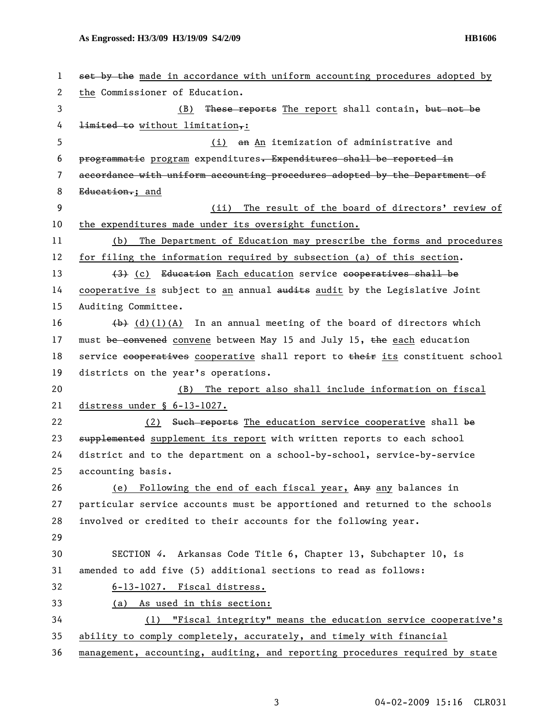| 1  | set by the made in accordance with uniform accounting procedures adopted by               |
|----|-------------------------------------------------------------------------------------------|
| 2  | the Commissioner of Education.                                                            |
| 3  | (B) These reports The report shall contain, but not be                                    |
| 4  | $l$ imited to without limitation,:                                                        |
| 5  | (i) an An itemization of administrative and                                               |
| 6  | programmatie program expenditures. Expenditures shall be reported in                      |
| 7  | accordance with uniform accounting procedures adopted by the Department of                |
| 8  | Education.; and                                                                           |
| 9  | The result of the board of directors' review of<br>(ii)                                   |
| 10 | the expenditures made under its oversight function.                                       |
| 11 | The Department of Education may prescribe the forms and procedures<br>(b)                 |
| 12 | for filing the information required by subsection (a) of this section.                    |
| 13 | (3) (c) Education Each education service cooperatives shall be                            |
| 14 | cooperative is subject to an annual audits audit by the Legislative Joint                 |
| 15 | Auditing Committee.                                                                       |
| 16 | $\left(\frac{h}{h}\right)$ (d)(1)(A) In an annual meeting of the board of directors which |
| 17 | must be convened convene between May 15 and July 15, the each education                   |
| 18 | service essperatives cooperative shall report to their its constituent school             |
| 19 | districts on the year's operations.                                                       |
| 20 | The report also shall include information on fiscal<br>(B)                                |
| 21 | distress under § 6-13-1027.                                                               |
| 22 | (2) Such reports The education service cooperative shall be                               |
| 23 | supplemented supplement its report with written reports to each school                    |
| 24 | district and to the department on a school-by-school, service-by-service                  |
| 25 | accounting basis.                                                                         |
| 26 | (e) Following the end of each fiscal year, Any any balances in                            |
| 27 | particular service accounts must be apportioned and returned to the schools               |
| 28 | involved or credited to their accounts for the following year.                            |
| 29 |                                                                                           |
| 30 | SECTION 4. Arkansas Code Title 6, Chapter 13, Subchapter 10, is                           |
| 31 | amended to add five (5) additional sections to read as follows:                           |
| 32 | 6-13-1027. Fiscal distress.                                                               |
| 33 | (a) As used in this section:                                                              |
| 34 | (1) "Fiscal integrity" means the education service cooperative's                          |
| 35 | ability to comply completely, accurately, and timely with financial                       |
| 36 | management, accounting, auditing, and reporting procedures required by state              |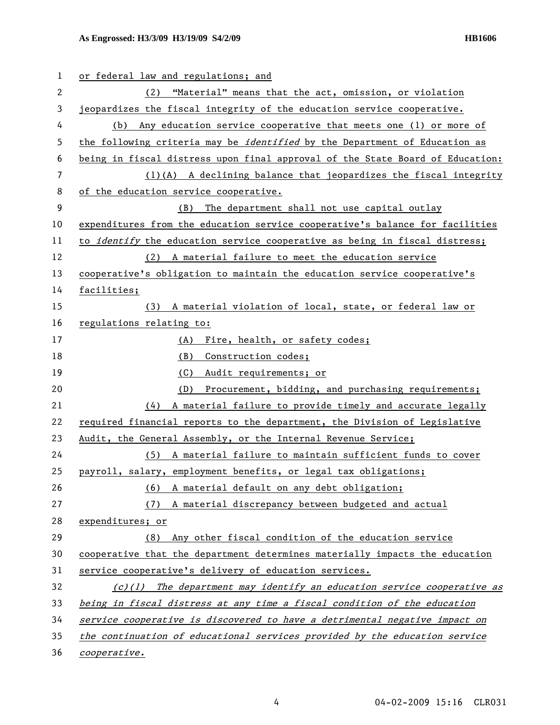## **As Engrossed: H3/3/09 H3/19/09 S4/2/09 HB1606**

| 1  | or federal law and regulations; and                                               |
|----|-----------------------------------------------------------------------------------|
| 2  | "Material" means that the act, omission, or violation<br>(2)                      |
| 3  | jeopardizes the fiscal integrity of the education service cooperative.            |
| 4  | (b) Any education service cooperative that meets one (1) or more of               |
| 5  | the following criteria may be <i>identified</i> by the Department of Education as |
| 6  | being in fiscal distress upon final approval of the State Board of Education:     |
| 7  | (1)(A) A declining balance that jeopardizes the fiscal integrity                  |
| 8  | of the education service cooperative.                                             |
| 9  | The department shall not use capital outlay<br>(B)                                |
| 10 | expenditures from the education service cooperative's balance for facilities      |
| 11 | to <i>identify</i> the education service cooperative as being in fiscal distress; |
| 12 | (2) A material failure to meet the education service                              |
| 13 | cooperative's obligation to maintain the education service cooperative's          |
| 14 | facilities;                                                                       |
| 15 | (3) A material violation of local, state, or federal law or                       |
| 16 | regulations relating to:                                                          |
| 17 | (A)<br>Fire, health, or safety codes;                                             |
| 18 | (B)<br>Construction codes;                                                        |
| 19 | (C)<br>Audit requirements; or                                                     |
| 20 | (D)<br>Procurement, bidding, and purchasing requirements;                         |
| 21 | A material failure to provide timely and accurate legally<br>(4)                  |
| 22 | required financial reports to the department, the Division of Legislative         |
| 23 | Audit, the General Assembly, or the Internal Revenue Service;                     |
| 24 | (5) A material failure to maintain sufficient funds to cover                      |
| 25 | payroll, salary, employment benefits, or legal tax obligations;                   |
| 26 | A material default on any debt obligation;<br>(6)                                 |
| 27 | A material discrepancy between budgeted and actual<br>(7)                         |
| 28 | expenditures; or                                                                  |
| 29 | Any other fiscal condition of the education service<br>(8)                        |
| 30 | cooperative that the department determines materially impacts the education       |
| 31 | service cooperative's delivery of education services.                             |
| 32 | $(c)(1)$ The department may identify an education service cooperative as          |
| 33 | being in fiscal distress at any time a fiscal condition of the education          |
| 34 | service cooperative is discovered to have a detrimental negative impact on        |
| 35 | the continuation of educational services provided by the education service        |
| 36 | cooperative.                                                                      |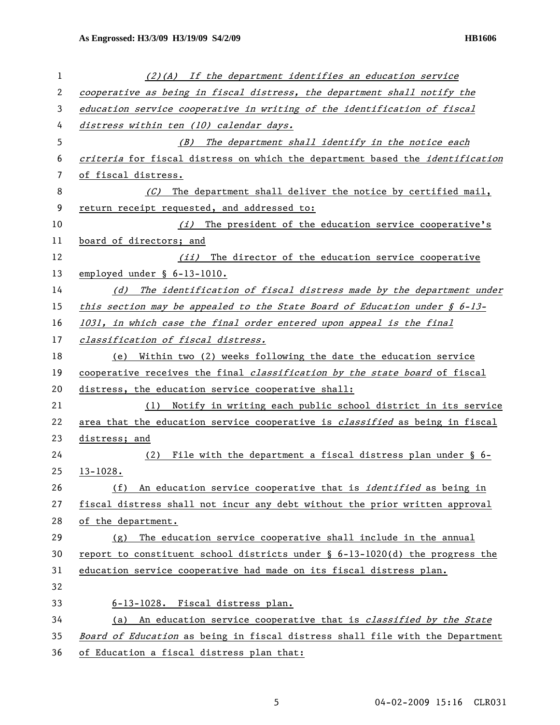| 1  | $(2)(A)$ If the department identifies an education service                          |
|----|-------------------------------------------------------------------------------------|
| 2  | cooperative as being in fiscal distress, the department shall notify the            |
| 3  | education service cooperative in writing of the identification of fiscal            |
| 4  | distress within ten (10) calendar days.                                             |
| 5  | (B) The department shall identify in the notice each                                |
| 6  | criteria for fiscal distress on which the department based the identification       |
| 7  | of fiscal distress.                                                                 |
| 8  | The department shall deliver the notice by certified mail,<br>(C)                   |
| 9  | return receipt requested, and addressed to:                                         |
| 10 | (i) The president of the education service cooperative's                            |
| 11 | board of directors; and                                                             |
| 12 | (ii) The director of the education service cooperative                              |
| 13 | employed under § 6-13-1010.                                                         |
| 14 | The identification of fiscal distress made by the department under<br>(d)           |
| 15 | this section may be appealed to the State Board of Education under $\oint 6-13-$    |
| 16 | 1031, in which case the final order entered upon appeal is the final                |
| 17 | classification of fiscal distress.                                                  |
| 18 | Within two (2) weeks following the date the education service<br>(e)                |
| 19 | cooperative receives the final <i>classification by the state board</i> of fiscal   |
| 20 | distress, the education service cooperative shall:                                  |
| 21 | (1) Notify in writing each public school district in its service                    |
| 22 | area that the education service cooperative is <i>classified</i> as being in fiscal |
| 23 | distress; and                                                                       |
| 24 | File with the department a fiscal distress plan under § 6-<br>(2)                   |
| 25 | $13 - 1028.$                                                                        |
| 26 | An education service cooperative that is <i>identified</i> as being in<br>(f)       |
| 27 | fiscal distress shall not incur any debt without the prior written approval         |
| 28 | of the department.                                                                  |
| 29 | The education service cooperative shall include in the annual<br>(g)                |
| 30 | report to constituent school districts under $\S$ 6-13-1020(d) the progress the     |
| 31 | education service cooperative had made on its fiscal distress plan.                 |
| 32 |                                                                                     |
| 33 | 6-13-1028. Fiscal distress plan.                                                    |
| 34 | An education service cooperative that is <i>classified by the State</i><br>(a)      |
| 35 | Board of Education as being in fiscal distress shall file with the Department       |
| 36 | of Education a fiscal distress plan that:                                           |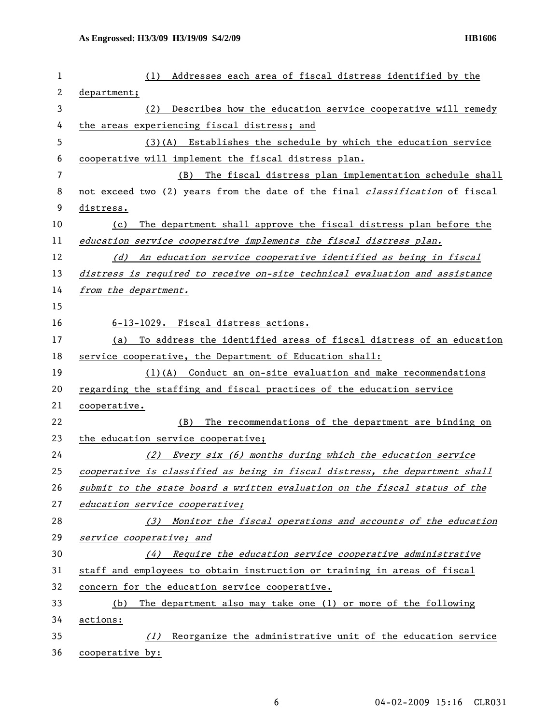| 1            | Addresses each area of fiscal distress identified by the<br>(1)                     |
|--------------|-------------------------------------------------------------------------------------|
| $\mathbf{2}$ | department;                                                                         |
| 3            | Describes how the education service cooperative will remedy<br>(2)                  |
| 4            | the areas experiencing fiscal distress; and                                         |
| 5            | (3)(A) Establishes the schedule by which the education service                      |
| 6            | cooperative will implement the fiscal distress plan.                                |
| 7            | The fiscal distress plan implementation schedule shall<br>(B)                       |
| 8            | not exceed two (2) years from the date of the final <i>classification</i> of fiscal |
| 9            | distress.                                                                           |
| 10           | The department shall approve the fiscal distress plan before the<br>(c)             |
| 11           | education service cooperative implements the fiscal distress plan.                  |
| 12           | An education service cooperative identified as being in fiscal<br>(d)               |
| 13           | distress is required to receive on-site technical evaluation and assistance         |
| 14           | from the department.                                                                |
| 15           |                                                                                     |
| 16           | 6-13-1029. Fiscal distress actions.                                                 |
| 17           | To address the identified areas of fiscal distress of an education<br>(a)           |
| 18           | service cooperative, the Department of Education shall:                             |
| 19           | $(1)$ (A) Conduct an on-site evaluation and make recommendations                    |
| 20           | regarding the staffing and fiscal practices of the education service                |
| 21           | cooperative.                                                                        |
| 22           | The recommendations of the department are binding on<br>(B)                         |
| 23           | the education service cooperative;                                                  |
| 24           | (2)<br>Every six (6) months during which the education service                      |
| 25           | cooperative is classified as being in fiscal distress, the department shall         |
| 26           | submit to the state board a written evaluation on the fiscal status of the          |
| 27           | education service cooperative;                                                      |
| 28           | (3) Monitor the fiscal operations and accounts of the education                     |
| 29           | service cooperative; and                                                            |
| 30           | (4) Require the education service cooperative administrative                        |
| 31           | staff and employees to obtain instruction or training in areas of fiscal            |
| 32           | concern for the education service cooperative.                                      |
| 33           | The department also may take one (1) or more of the following<br>(b)                |
| 34           | actions:                                                                            |
| 35           | Reorganize the administrative unit of the education service<br>(1)                  |
| 36           | cooperative by:                                                                     |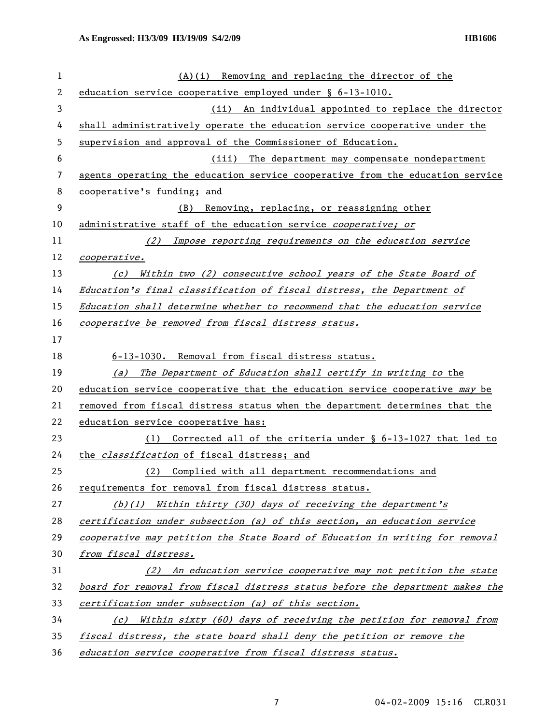| 1  | $(A)(i)$ Removing and replacing the director of the                           |
|----|-------------------------------------------------------------------------------|
| 2  | education service cooperative employed under § 6-13-1010.                     |
| 3  | (ii) An individual appointed to replace the director                          |
| 4  | shall administratively operate the education service cooperative under the    |
| 5  | supervision and approval of the Commissioner of Education.                    |
| 6  | (iii)<br>The department may compensate nondepartment                          |
| 7  | agents operating the education service cooperative from the education service |
| 8  | cooperative's funding; and                                                    |
| 9  | (B) Removing, replacing, or reassigning other                                 |
| 10 | administrative staff of the education service <i>cooperative; or</i>          |
| 11 | (2) Impose reporting requirements on the education service                    |
| 12 | cooperative.                                                                  |
| 13 | (c) Within two (2) consecutive school years of the State Board of             |
| 14 | Education's final classification of fiscal distress, the Department of        |
| 15 | Education shall determine whether to recommend that the education service     |
| 16 | cooperative be removed from fiscal distress status.                           |
| 17 |                                                                               |
| 18 | 6-13-1030. Removal from fiscal distress status.                               |
| 19 | (a) The Department of Education shall certify in writing to the               |
| 20 | education service cooperative that the education service cooperative may be   |
| 21 | removed from fiscal distress status when the department determines that the   |
| 22 | education service cooperative has:                                            |
| 23 | Corrected all of the criteria under $\S$ 6-13-1027 that led to<br>(1)         |
| 24 | the <i>classification</i> of fiscal distress; and                             |
| 25 | (2) Complied with all department recommendations and                          |
| 26 | requirements for removal from fiscal distress status.                         |
| 27 | (b)(1) Within thirty (30) days of receiving the department's                  |
| 28 | certification under subsection (a) of this section, an education service      |
| 29 | cooperative may petition the State Board of Education in writing for removal  |
| 30 | from fiscal distress.                                                         |
| 31 | (2) An education service cooperative may not petition the state               |
| 32 | board for removal from fiscal distress status before the department makes the |
| 33 | certification under subsection (a) of this section.                           |
| 34 | (c) Within sixty (60) days of receiving the petition for removal from         |
| 35 | fiscal distress, the state board shall deny the petition or remove the        |
| 36 | education service cooperative from fiscal distress status.                    |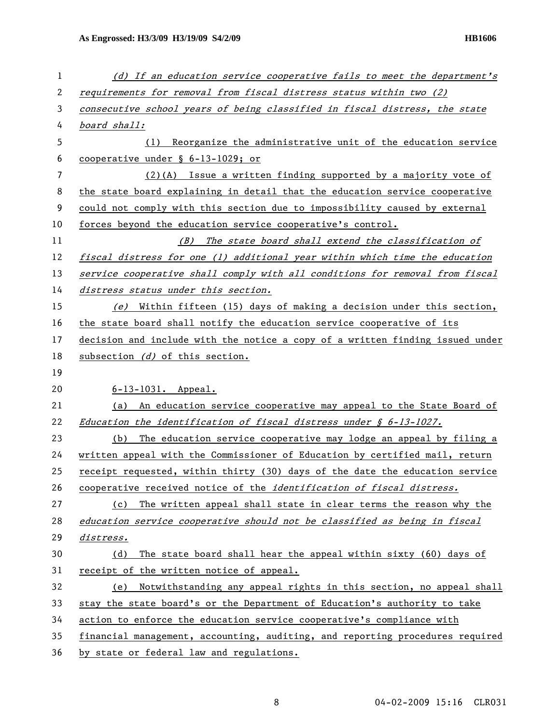| 1  | (d) If an education service cooperative fails to meet the department's        |
|----|-------------------------------------------------------------------------------|
| 2  | requirements for removal from fiscal distress status within two (2)           |
| 3  | consecutive school years of being classified in fiscal distress, the state    |
| 4  | board shall:                                                                  |
| 5  | Reorganize the administrative unit of the education service<br>(1)            |
| 6  | cooperative under $\S$ 6-13-1029; or                                          |
| 7  | $(2)(A)$ Issue a written finding supported by a majority vote of              |
| 8  | the state board explaining in detail that the education service cooperative   |
| 9  | could not comply with this section due to impossibility caused by external    |
| 10 | forces beyond the education service cooperative's control.                    |
| 11 | (B) The state board shall extend the classification of                        |
| 12 | fiscal distress for one (1) additional year within which time the education   |
| 13 | service cooperative shall comply with all conditions for removal from fiscal  |
| 14 | distress status under this section.                                           |
| 15 | (e) Within fifteen (15) days of making a decision under this section,         |
| 16 | the state board shall notify the education service cooperative of its         |
| 17 | decision and include with the notice a copy of a written finding issued under |
| 18 | subsection $(d)$ of this section.                                             |
| 19 |                                                                               |
| 20 | $6 - 13 - 1031$ . Appeal.                                                     |
| 21 | (a) An education service cooperative may appeal to the State Board of         |
| 22 | Education the identification of fiscal distress under $\oint 6-13-1027$ .     |
| 23 | The education service cooperative may lodge an appeal by filing a<br>(b)      |
| 24 | written appeal with the Commissioner of Education by certified mail, return   |
| 25 | receipt requested, within thirty (30) days of the date the education service  |
| 26 | cooperative received notice of the identification of fiscal distress.         |
| 27 | The written appeal shall state in clear terms the reason why the<br>(c)       |
| 28 | education service cooperative should not be classified as being in fiscal     |
| 29 | <i>distress.</i>                                                              |
| 30 | The state board shall hear the appeal within sixty (60) days of<br>(d)        |
| 31 | receipt of the written notice of appeal.                                      |
| 32 | Notwithstanding any appeal rights in this section, no appeal shall<br>(e)     |
| 33 | stay the state board's or the Department of Education's authority to take     |
| 34 | action to enforce the education service cooperative's compliance with         |
| 35 | financial management, accounting, auditing, and reporting procedures required |
| 36 | by state or federal law and regulations.                                      |